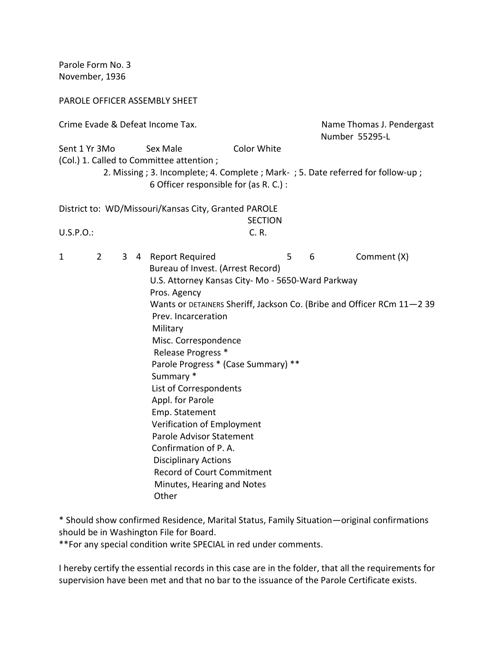Parole Form No. 3 November, 1936

## PAROLE OFFICER ASSEMBLY SHEET

| Crime Evade & Defeat Income Tax.                                                                                                                                                                                 |                |              |  |                                                                                                                                                                                                                                                                                                                                                                                                                                                                                                                               |  |   | Name Thomas J. Pendergast<br>Number 55295-L                                                |
|------------------------------------------------------------------------------------------------------------------------------------------------------------------------------------------------------------------|----------------|--------------|--|-------------------------------------------------------------------------------------------------------------------------------------------------------------------------------------------------------------------------------------------------------------------------------------------------------------------------------------------------------------------------------------------------------------------------------------------------------------------------------------------------------------------------------|--|---|--------------------------------------------------------------------------------------------|
| Color White<br>Sent 1 Yr 3Mo<br>Sex Male<br>(Col.) 1. Called to Committee attention;<br>2. Missing; 3. Incomplete; 4. Complete; Mark-; 5. Date referred for follow-up;<br>6 Officer responsible for (as R. C.) : |                |              |  |                                                                                                                                                                                                                                                                                                                                                                                                                                                                                                                               |  |   |                                                                                            |
| District to: WD/Missouri/Kansas City, Granted PAROLE<br><b>SECTION</b>                                                                                                                                           |                |              |  |                                                                                                                                                                                                                                                                                                                                                                                                                                                                                                                               |  |   |                                                                                            |
| C. R.<br>$U.S.P.O.$ :                                                                                                                                                                                            |                |              |  |                                                                                                                                                                                                                                                                                                                                                                                                                                                                                                                               |  |   |                                                                                            |
| 1                                                                                                                                                                                                                | $\overline{2}$ | $\mathbf{3}$ |  | 4 Report Required<br>Bureau of Invest. (Arrest Record)<br>U.S. Attorney Kansas City- Mo - 5650-Ward Parkway<br>Pros. Agency<br>Prev. Incarceration<br>Military<br>Misc. Correspondence<br>Release Progress *<br>Parole Progress * (Case Summary) **<br>Summary *<br>List of Correspondents<br>Appl. for Parole<br>Emp. Statement<br>Verification of Employment<br>Parole Advisor Statement<br>Confirmation of P.A.<br><b>Disciplinary Actions</b><br><b>Record of Court Commitment</b><br>Minutes, Hearing and Notes<br>Other |  | 5 | Comment (X)<br>6<br>Wants or DETAINERS Sheriff, Jackson Co. (Bribe and Officer RCm 11-2 39 |

\* Should show confirmed Residence, Marital Status, Family Situation—original confirmations should be in Washington File for Board.

\*\*For any special condition write SPECIAL in red under comments.

I hereby certify the essential records in this case are in the folder, that all the requirements for supervision have been met and that no bar to the issuance of the Parole Certificate exists.